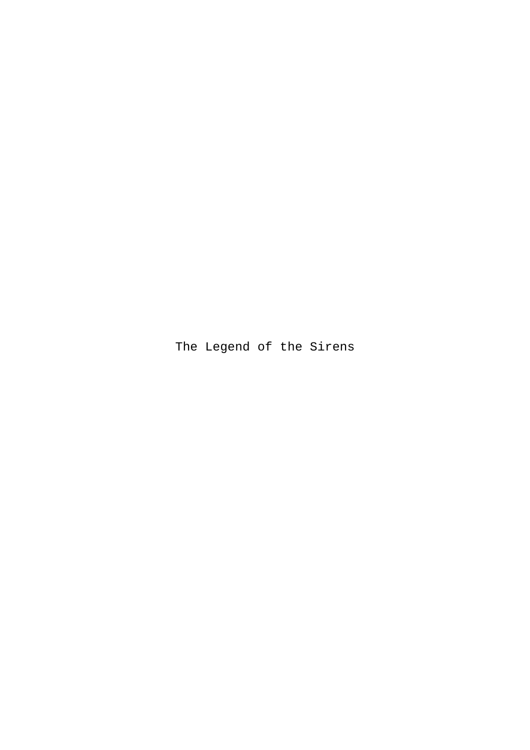The Legend of the Sirens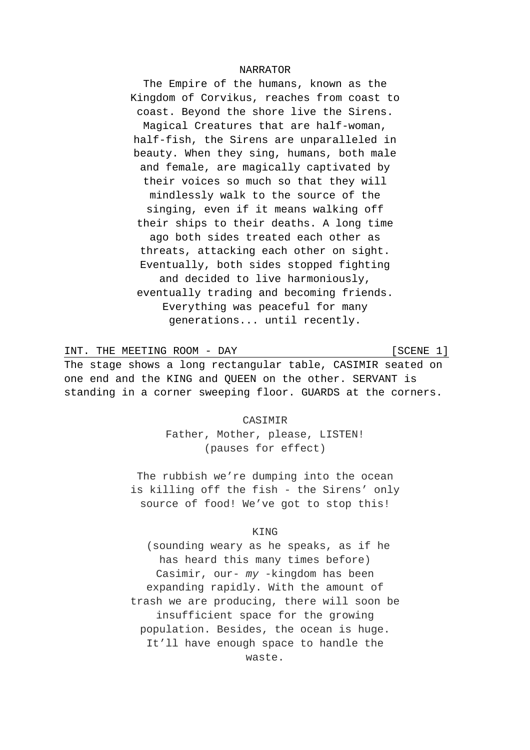### NARRATOR

The Empire of the humans, known as the Kingdom of Corvikus, reaches from coast to coast. Beyond the shore live the Sirens. Magical Creatures that are half-woman, half-fish, the Sirens are unparalleled in beauty. When they sing, humans, both male and female, are magically captivated by their voices so much so that they will mindlessly walk to the source of the singing, even if it means walking off their ships to their deaths. A long time ago both sides treated each other as threats, attacking each other on sight. Eventually, both sides stopped fighting and decided to live harmoniously, eventually trading and becoming friends. Everything was peaceful for many generations... until recently.

INT. THE MEETING ROOM - DAY [SCENE 1] The stage shows a long rectangular table, CASIMIR seated on one end and the KING and QUEEN on the other. SERVANT is standing in a corner sweeping floor. GUARDS at the corners.

> CASIMIR Father, Mother, please, LISTEN! (pauses for effect)

The rubbish we're dumping into the ocean is killing off the fish - the Sirens' only source of food! We've got to stop this!

## KING

(sounding weary as he speaks, as if he has heard this many times before) Casimir, our- *my* -kingdom has been expanding rapidly. With the amount of trash we are producing, there will soon be insufficient space for the growing population. Besides, the ocean is huge. It'll have enough space to handle the waste.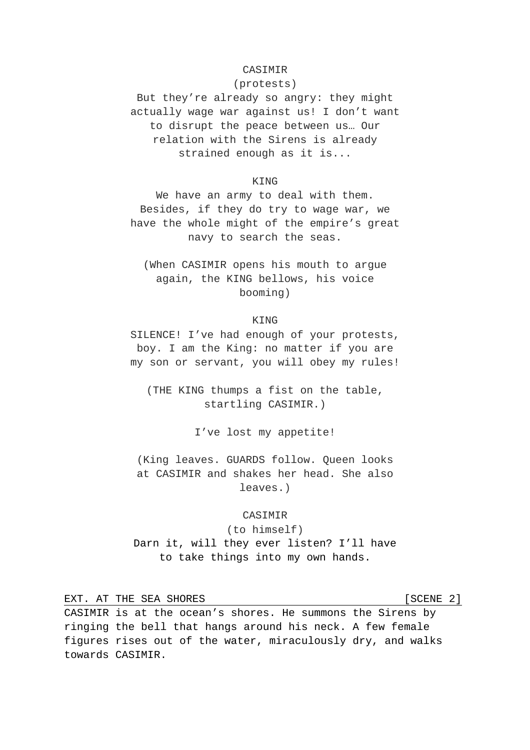# CASIMIR

(protests)

But they're already so angry: they might actually wage war against us! I don't want to disrupt the peace between us… Our relation with the Sirens is already strained enough as it is...

### KING

We have an army to deal with them. Besides, if they do try to wage war, we have the whole might of the empire's great navy to search the seas.

(When CASIMIR opens his mouth to argue again, the KING bellows, his voice booming)

**KING** 

SILENCE! I've had enough of your protests, boy. I am the King: no matter if you are my son or servant, you will obey my rules!

(THE KING thumps a fist on the table, startling CASIMIR.)

I've lost my appetite!

(King leaves. GUARDS follow. Queen looks at CASIMIR and shakes her head. She also leaves.)

# **CASIMIR**

(to himself) Darn it, will they ever listen? I'll have to take things into my own hands.

EXT. AT THE SEA SHORES [SCENE 2]

CASIMIR is at the ocean's shores. He summons the Sirens by ringing the bell that hangs around his neck. A few female figures rises out of the water, miraculously dry, and walks towards CASIMIR.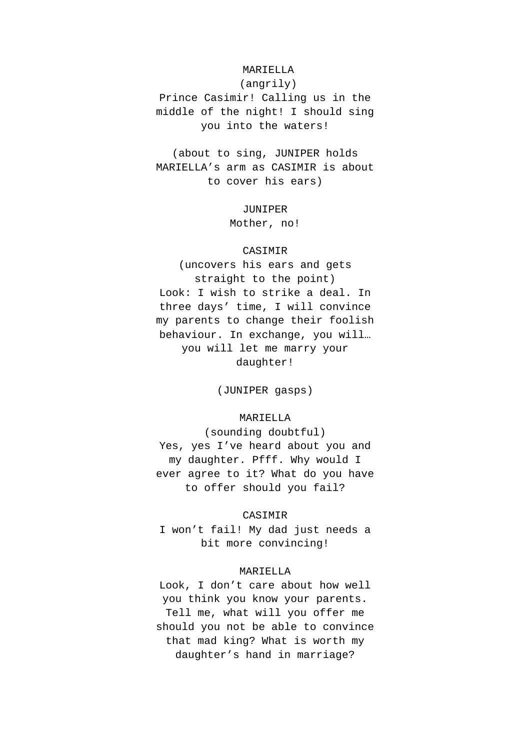# MARIELLA

(angrily) Prince Casimir! Calling us in the middle of the night! I should sing you into the waters!

(about to sing, JUNIPER holds MARIELLA's arm as CASIMIR is about to cover his ears)

> JUNIPER Mother, no!

# CASIMIR

(uncovers his ears and gets straight to the point) Look: I wish to strike a deal. In three days' time, I will convince my parents to change their foolish behaviour. In exchange, you will… you will let me marry your daughter!

(JUNIPER gasps)

# MARIELLA

(sounding doubtful) Yes, yes I've heard about you and my daughter. Pfff. Why would I ever agree to it? What do you have to offer should you fail?

## CASIMIR

I won't fail! My dad just needs a bit more convincing!

### MARIELLA

Look, I don't care about how well you think you know your parents. Tell me, what will you offer me should you not be able to convince that mad king? What is worth my daughter's hand in marriage?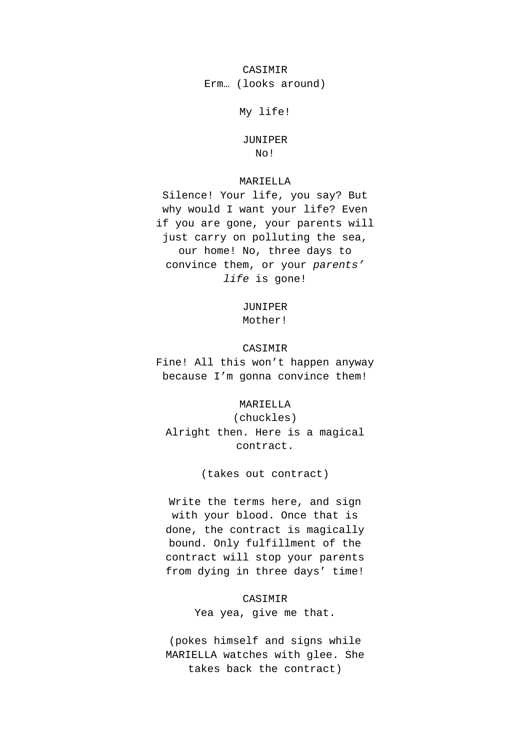CASIMIR Erm… (looks around)

My life!

JUNIPER No!

# MARIELLA

Silence! Your life, you say? But why would I want your life? Even if you are gone, your parents will just carry on polluting the sea, our home! No, three days to convince them, or your *parents' life* is gone!

#### JUNIPER

Mother!

# CASIMIR

Fine! All this won't happen anyway because I'm gonna convince them!

### MARIELLA

(chuckles) Alright then. Here is a magical contract.

(takes out contract)

Write the terms here, and sign with your blood. Once that is done, the contract is magically bound. Only fulfillment of the contract will stop your parents from dying in three days' time!

> CASIMIR Yea yea, give me that.

(pokes himself and signs while MARIELLA watches with glee. She takes back the contract)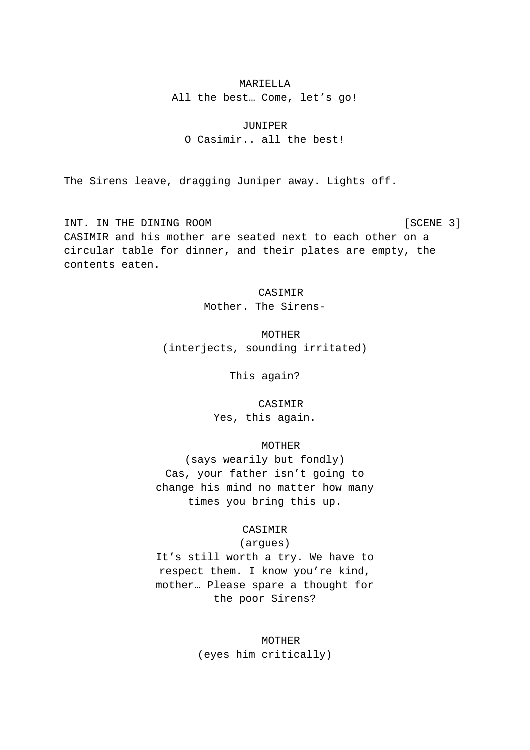### MARIELLA

All the best… Come, let's go!

JUNIPER

O Casimir.. all the best!

The Sirens leave, dragging Juniper away. Lights off.

INT. IN THE DINING ROOM [SCENE 3] CASIMIR and his mother are seated next to each other on a circular table for dinner, and their plates are empty, the contents eaten.

**CASIMIR** 

Mother. The Sirens-

MOTHER (interjects, sounding irritated)

This again?

CASIMIR Yes, this again.

# MOTHER

(says wearily but fondly) Cas, your father isn't going to change his mind no matter how many times you bring this up.

# CASIMIR

(argues)

It's still worth a try. We have to respect them. I know you're kind, mother… Please spare a thought for the poor Sirens?

> MOTHER (eyes him critically)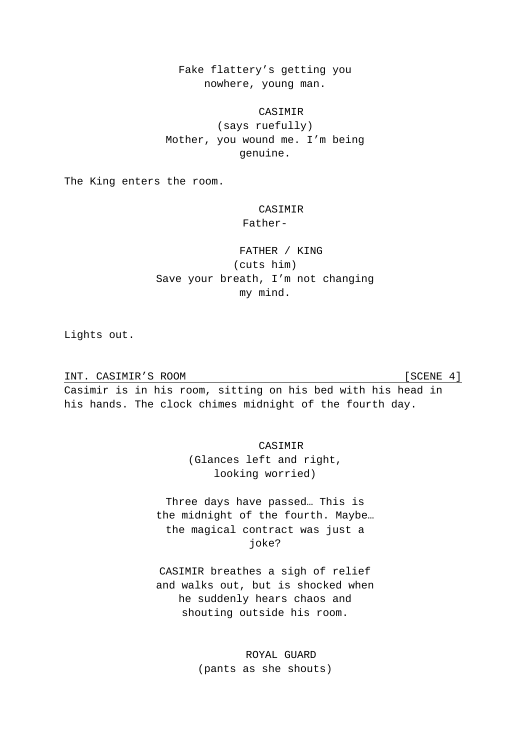Fake flattery's getting you nowhere, young man.

# CASIMIR

(says ruefully) Mother, you wound me. I'm being genuine.

The King enters the room.

# CASIMIR

# Father-

# FATHER / KING (cuts him) Save your breath, I'm not changing my mind.

Lights out.

INT. CASIMIR'S ROOM [SCENE 4]

Casimir is in his room, sitting on his bed with his head in his hands. The clock chimes midnight of the fourth day.

CASIMIR

(Glances left and right, looking worried)

Three days have passed… This is the midnight of the fourth. Maybe… the magical contract was just a joke?

CASIMIR breathes a sigh of relief and walks out, but is shocked when he suddenly hears chaos and shouting outside his room.

> ROYAL GUARD (pants as she shouts)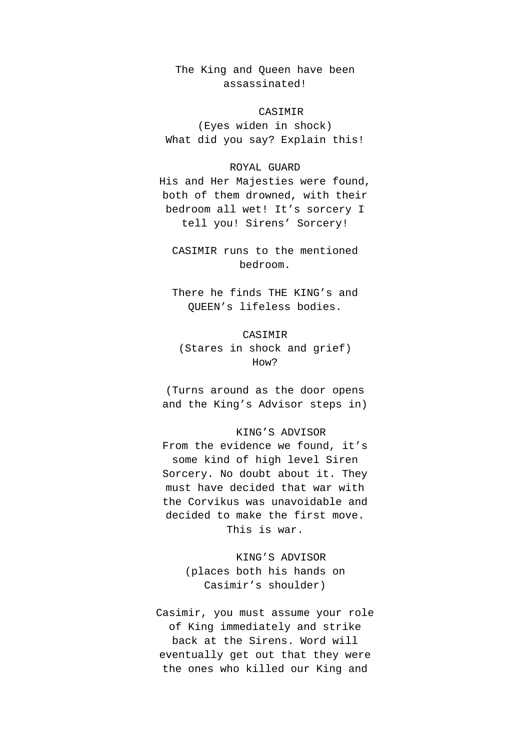The King and Queen have been assassinated!

# CASIMIR

(Eyes widen in shock) What did you say? Explain this!

### ROYAL GUARD

His and Her Majesties were found, both of them drowned, with their bedroom all wet! It's sorcery I tell you! Sirens' Sorcery!

CASIMIR runs to the mentioned bedroom.

There he finds THE KING's and QUEEN's lifeless bodies.

# CASIMIR

(Stares in shock and grief) How?

(Turns around as the door opens and the King's Advisor steps in)

## KING'S ADVISOR

From the evidence we found, it's some kind of high level Siren Sorcery. No doubt about it. They must have decided that war with the Corvikus was unavoidable and decided to make the first move. This is war.

> KING'S ADVISOR (places both his hands on Casimir's shoulder)

Casimir, you must assume your role of King immediately and strike back at the Sirens. Word will eventually get out that they were the ones who killed our King and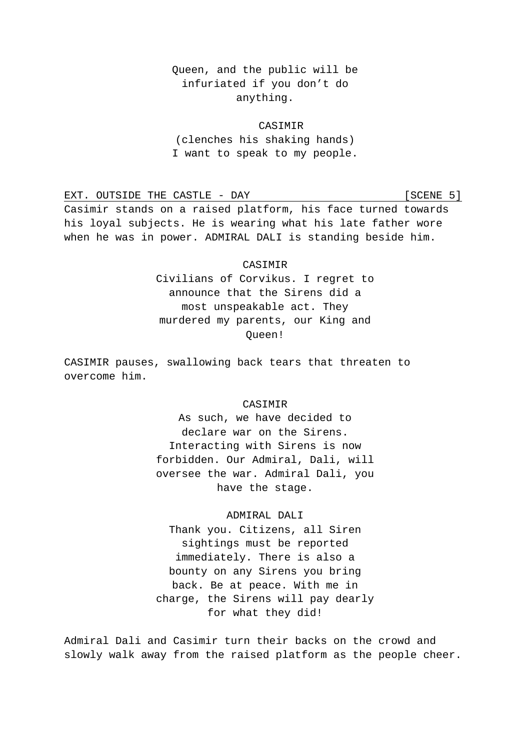# Queen, and the public will be infuriated if you don't do anything.

# CASIMIR

(clenches his shaking hands) I want to speak to my people.

EXT. OUTSIDE THE CASTLE - DAY [SCENE 5] Casimir stands on a raised platform, his face turned towards his loyal subjects. He is wearing what his late father wore when he was in power. ADMIRAL DALI is standing beside him.

# CASIMIR Civilians of Corvikus. I regret to

announce that the Sirens did a most unspeakable act. They murdered my parents, our King and Queen!

CASIMIR pauses, swallowing back tears that threaten to overcome him.

# CASIMIR

As such, we have decided to declare war on the Sirens. Interacting with Sirens is now forbidden. Our Admiral, Dali, will oversee the war. Admiral Dali, you have the stage.

# ADMIRAL DALI

Thank you. Citizens, all Siren sightings must be reported immediately. There is also a bounty on any Sirens you bring back. Be at peace. With me in charge, the Sirens will pay dearly for what they did!

Admiral Dali and Casimir turn their backs on the crowd and slowly walk away from the raised platform as the people cheer.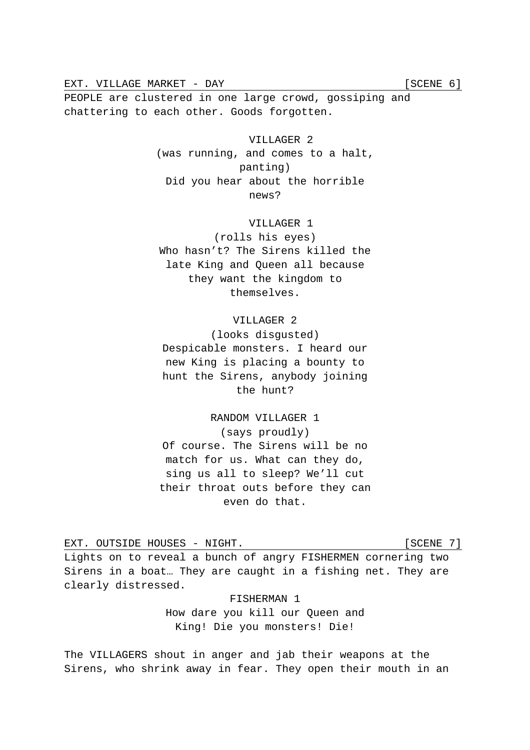EXT. VILLAGE MARKET - DAY [SCENE 6]

PEOPLE are clustered in one large crowd, gossiping and chattering to each other. Goods forgotten.

> VILLAGER 2 (was running, and comes to a halt, panting) Did you hear about the horrible news?

# VILLAGER 1

(rolls his eyes) Who hasn't? The Sirens killed the late King and Queen all because they want the kingdom to themselves.

# VILLAGER 2

(looks disgusted) Despicable monsters. I heard our new King is placing a bounty to hunt the Sirens, anybody joining the hunt?

RANDOM VILLAGER 1 (says proudly) Of course. The Sirens will be no match for us. What can they do, sing us all to sleep? We'll cut their throat outs before they can even do that.

EXT. OUTSIDE HOUSES - NIGHT. [SCENE 7]

Lights on to reveal a bunch of angry FISHERMEN cornering two Sirens in a boat… They are caught in a fishing net. They are clearly distressed.

> FISHERMAN 1 How dare you kill our Queen and King! Die you monsters! Die!

The VILLAGERS shout in anger and jab their weapons at the Sirens, who shrink away in fear. They open their mouth in an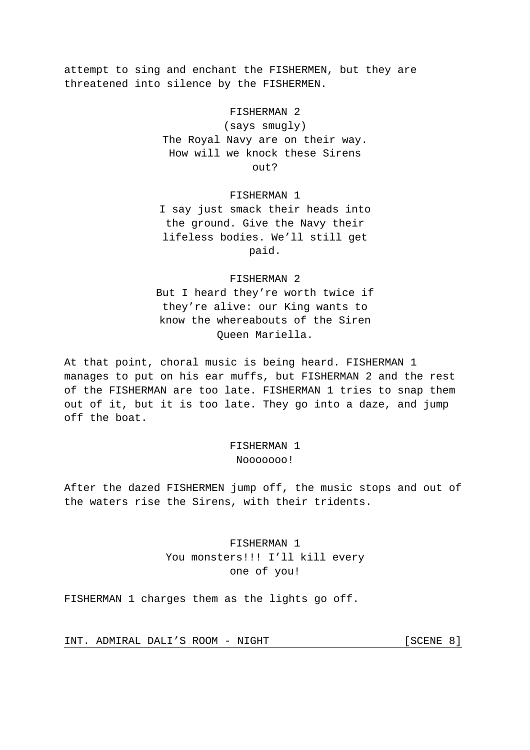attempt to sing and enchant the FISHERMEN, but they are threatened into silence by the FISHERMEN.

# FISHERMAN 2

(says smugly) The Royal Navy are on their way. How will we knock these Sirens out?

#### FISHERMAN 1

I say just smack their heads into the ground. Give the Navy their lifeless bodies. We'll still get paid.

### FISHERMAN 2

But I heard they're worth twice if they're alive: our King wants to know the whereabouts of the Siren Queen Mariella.

At that point, choral music is being heard. FISHERMAN 1 manages to put on his ear muffs, but FISHERMAN 2 and the rest of the FISHERMAN are too late. FISHERMAN 1 tries to snap them out of it, but it is too late. They go into a daze, and jump off the boat.

# FISHERMAN 1 Nooooooo!

After the dazed FISHERMEN jump off, the music stops and out of the waters rise the Sirens, with their tridents.

# FISHERMAN 1 You monsters!!! I'll kill every one of you!

FISHERMAN 1 charges them as the lights go off.

INT. ADMIRAL DALI'S ROOM - NIGHT [SCENE 8]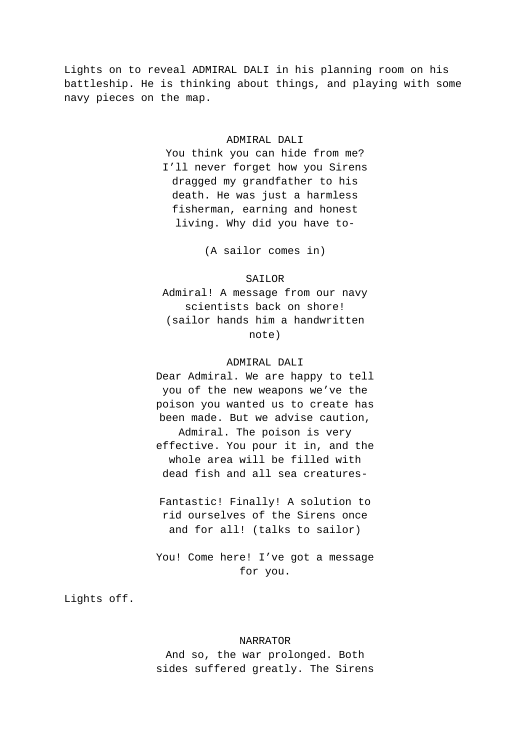Lights on to reveal ADMIRAL DALI in his planning room on his battleship. He is thinking about things, and playing with some navy pieces on the map.

### ADMIRAL DALI

You think you can hide from me? I'll never forget how you Sirens dragged my grandfather to his death. He was just a harmless fisherman, earning and honest living. Why did you have to-

(A sailor comes in)

#### SAILOR

Admiral! A message from our navy scientists back on shore! (sailor hands him a handwritten note)

### ADMIRAL DALI

Dear Admiral. We are happy to tell you of the new weapons we've the poison you wanted us to create has been made. But we advise caution, Admiral. The poison is very effective. You pour it in, and the whole area will be filled with dead fish and all sea creatures-

Fantastic! Finally! A solution to rid ourselves of the Sirens once and for all! (talks to sailor)

You! Come here! I've got a message for you.

Lights off.

## NARRATOR

And so, the war prolonged. Both sides suffered greatly. The Sirens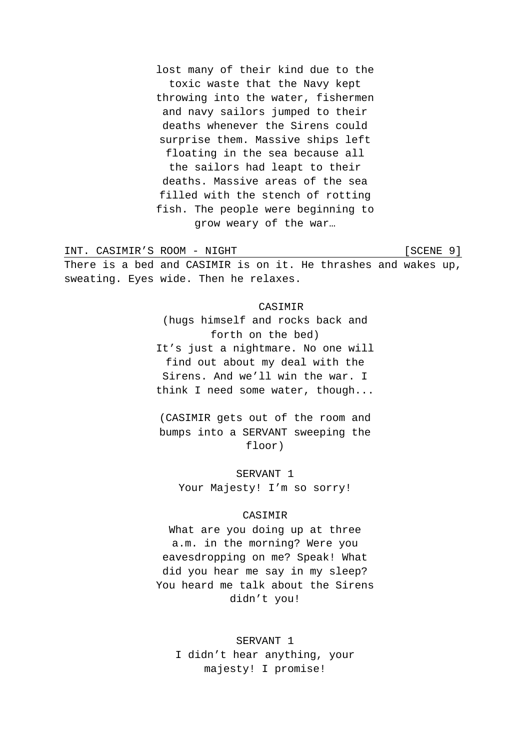lost many of their kind due to the toxic waste that the Navy kept throwing into the water, fishermen and navy sailors jumped to their deaths whenever the Sirens could surprise them. Massive ships left floating in the sea because all the sailors had leapt to their deaths. Massive areas of the sea filled with the stench of rotting fish. The people were beginning to grow weary of the war…

INT. CASIMIR'S ROOM - NIGHT [SCENE 9] There is a bed and CASIMIR is on it. He thrashes and wakes up, sweating. Eyes wide. Then he relaxes.

#### CASIMIR

(hugs himself and rocks back and forth on the bed) It's just a nightmare. No one will find out about my deal with the Sirens. And we'll win the war. I think I need some water, though...

(CASIMIR gets out of the room and bumps into a SERVANT sweeping the floor)

SERVANT 1 Your Majesty! I'm so sorry!

# CASIMIR

What are you doing up at three a.m. in the morning? Were you eavesdropping on me? Speak! What did you hear me say in my sleep? You heard me talk about the Sirens didn't you!

SERVANT 1 I didn't hear anything, your majesty! I promise!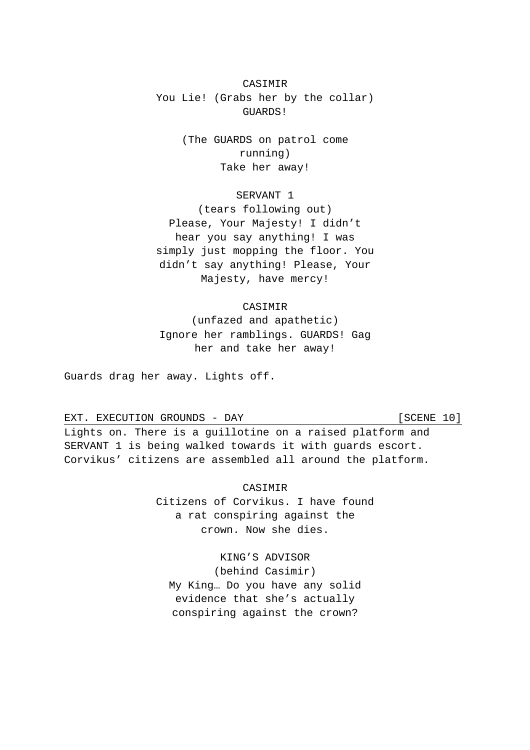# CASIMIR You Lie! (Grabs her by the collar) GUARDS!

(The GUARDS on patrol come running) Take her away!

# SERVANT 1

(tears following out) Please, Your Majesty! I didn't hear you say anything! I was simply just mopping the floor. You didn't say anything! Please, Your Majesty, have mercy!

# CASIMIR

(unfazed and apathetic) Ignore her ramblings. GUARDS! Gag her and take her away!

Guards drag her away. Lights off.

EXT. EXECUTION GROUNDS - DAY [SCENE 10]

Lights on. There is a guillotine on a raised platform and SERVANT 1 is being walked towards it with guards escort. Corvikus' citizens are assembled all around the platform.

> **CASIMIR** Citizens of Corvikus. I have found a rat conspiring against the crown. Now she dies.

KING'S ADVISOR (behind Casimir) My King… Do you have any solid evidence that she's actually conspiring against the crown?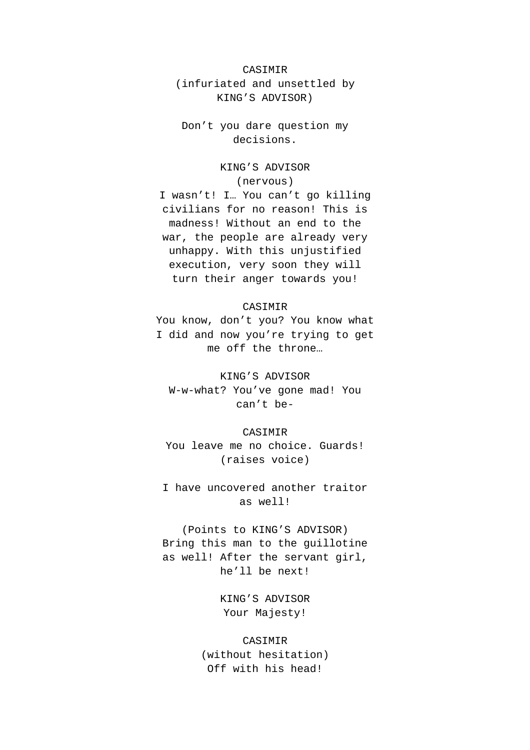# CASIMIR (infuriated and unsettled by KING'S ADVISOR)

Don't you dare question my decisions.

# KING'S ADVISOR

(nervous)

I wasn't! I… You can't go killing civilians for no reason! This is madness! Without an end to the war, the people are already very unhappy. With this unjustified execution, very soon they will turn their anger towards you!

#### CASIMIR

You know, don't you? You know what I did and now you're trying to get me off the throne…

KING'S ADVISOR W-w-what? You've gone mad! You can't be-

#### CASIMIR

You leave me no choice. Guards! (raises voice)

I have uncovered another traitor as well!

(Points to KING'S ADVISOR) Bring this man to the guillotine as well! After the servant girl, he'll be next!

> KING'S ADVISOR Your Majesty!

# CASIMIR (without hesitation) Off with his head!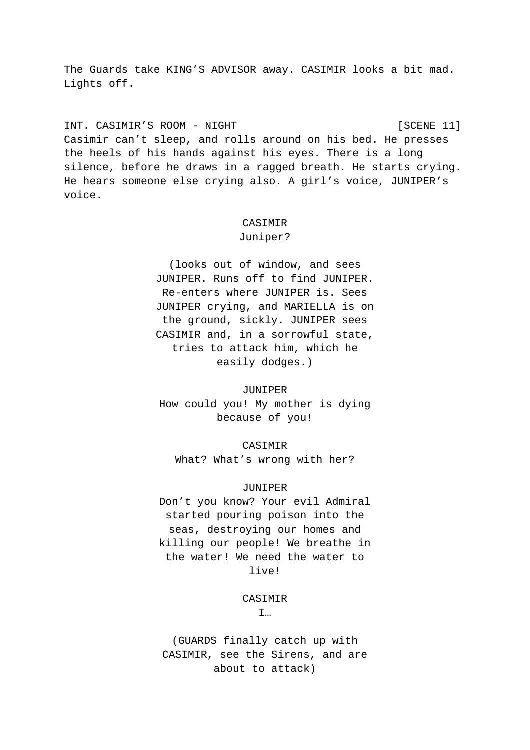The Guards take KING'S ADVISOR away. CASIMIR looks a bit mad. Lights off.

INT. CASIMIR'S ROOM - NIGHT [SCENE 11]

Casimir can't sleep, and rolls around on his bed. He presses the heels of his hands against his eyes. There is a long silence, before he draws in a ragged breath. He starts crying. He hears someone else crying also. A girl's voice, JUNIPER's voice.

# **CASIMIR**

#### Juniper?

(looks out of window, and sees JUNIPER. Runs off to find JUNIPER. Re-enters where JUNIPER is. Sees JUNIPER crying, and MARIELLA is on the ground, sickly. JUNIPER sees CASIMIR and, in a sorrowful state, tries to attack him, which he easily dodges.)

### JUNIPER

How could you! My mother is dying because of you!

CASIMIR What? What's wrong with her?

### JUNIPER

Don't you know? Your evil Admiral started pouring poison into the seas, destroying our homes and killing our people! We breathe in the water! We need the water to live!

CASIMIR

I…

(GUARDS finally catch up with CASIMIR, see the Sirens, and are about to attack)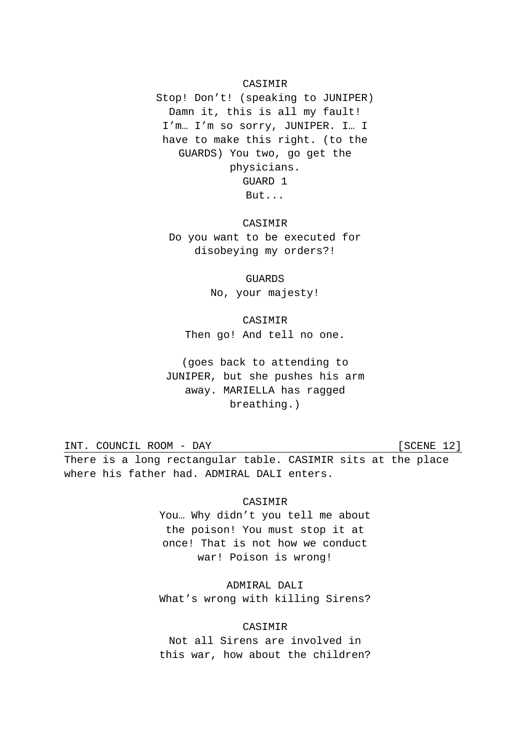### CASIMIR

Stop! Don't! (speaking to JUNIPER) Damn it, this is all my fault! I'm… I'm so sorry, JUNIPER. I… I have to make this right. (to the GUARDS) You two, go get the physicians. GUARD 1 But...

**CASIMIR** Do you want to be executed for disobeying my orders?!

> GUARDS No, your majesty!

CASIMIR Then go! And tell no one.

(goes back to attending to JUNIPER, but she pushes his arm away. MARIELLA has ragged breathing.)

INT. COUNCIL ROOM - DAY [SCENE 12] There is a long rectangular table. CASIMIR sits at the place where his father had. ADMIRAL DALI enters.

### CASIMIR

You… Why didn't you tell me about the poison! You must stop it at once! That is not how we conduct war! Poison is wrong!

ADMIRAL DALI What's wrong with killing Sirens?

# CASIMIR

Not all Sirens are involved in this war, how about the children?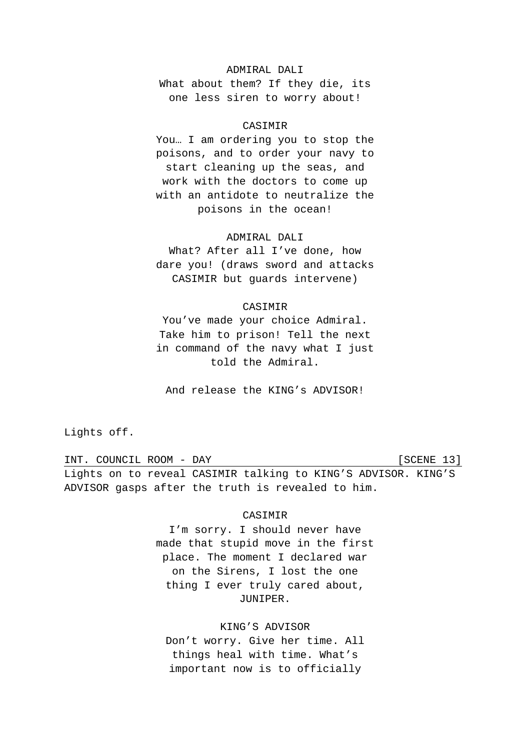# ADMIRAL DALI

What about them? If they die, its one less siren to worry about!

# CASIMIR

You… I am ordering you to stop the poisons, and to order your navy to start cleaning up the seas, and work with the doctors to come up with an antidote to neutralize the poisons in the ocean!

### ADMIRAL DALI

What? After all I've done, how dare you! (draws sword and attacks CASIMIR but guards intervene)

#### CASIMIR

You've made your choice Admiral. Take him to prison! Tell the next in command of the navy what I just told the Admiral.

And release the KING's ADVISOR!

Lights off.

INT. COUNCIL ROOM - DAY [SCENE 13] Lights on to reveal CASIMIR talking to KING'S ADVISOR. KING'S ADVISOR gasps after the truth is revealed to him.

# CASIMIR

I'm sorry. I should never have made that stupid move in the first place. The moment I declared war on the Sirens, I lost the one thing I ever truly cared about, JUNIPER.

# KING'S ADVISOR

Don't worry. Give her time. All things heal with time. What's important now is to officially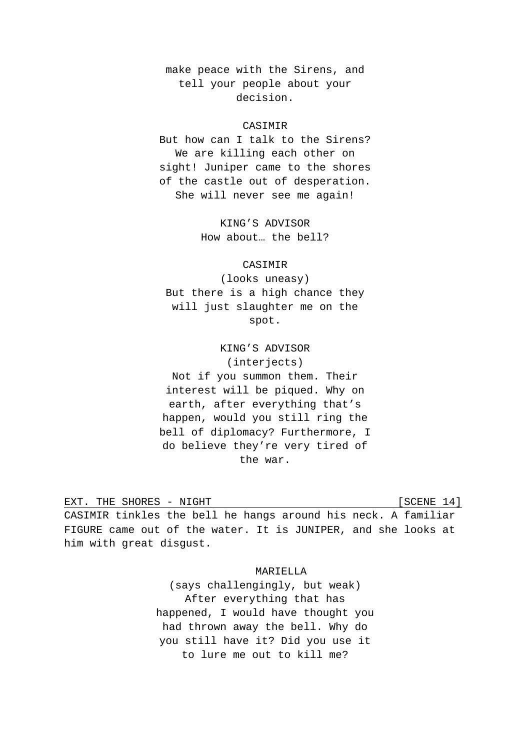make peace with the Sirens, and tell your people about your decision.

# CASIMIR

But how can I talk to the Sirens? We are killing each other on sight! Juniper came to the shores of the castle out of desperation. She will never see me again!

> KING'S ADVISOR How about… the bell?

#### CASIMIR

(looks uneasy) But there is a high chance they will just slaughter me on the spot.

KING'S ADVISOR (interjects) Not if you summon them. Their interest will be piqued. Why on earth, after everything that's happen, would you still ring the bell of diplomacy? Furthermore, I do believe they're very tired of the war.

EXT. THE SHORES - NIGHT **EXT.** [SCENE 14] CASIMIR tinkles the bell he hangs around his neck. A familiar FIGURE came out of the water. It is JUNIPER, and she looks at him with great disgust.

MARIELLA

(says challengingly, but weak) After everything that has happened, I would have thought you had thrown away the bell. Why do you still have it? Did you use it to lure me out to kill me?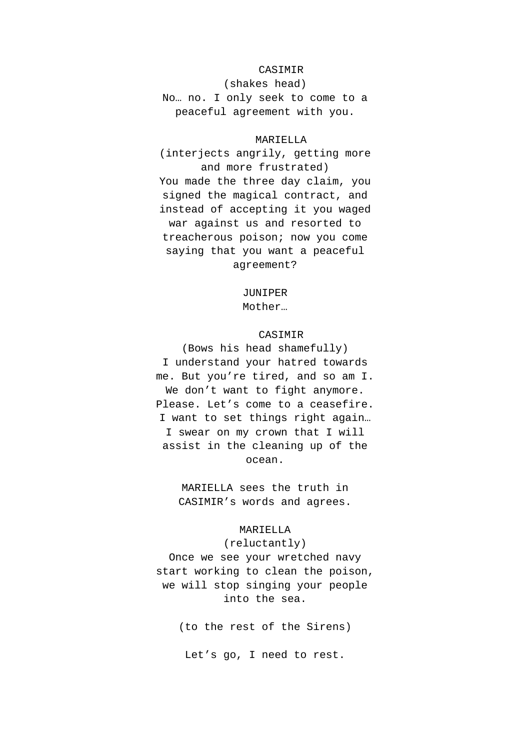## CASIMIR

(shakes head) No… no. I only seek to come to a peaceful agreement with you.

#### MARIELLA

(interjects angrily, getting more and more frustrated)

You made the three day claim, you signed the magical contract, and instead of accepting it you waged war against us and resorted to treacherous poison; now you come saying that you want a peaceful agreement?

#### JUNIPER

Mother…

# CASIMIR

(Bows his head shamefully) I understand your hatred towards me. But you're tired, and so am I. We don't want to fight anymore. Please. Let's come to a ceasefire. I want to set things right again… I swear on my crown that I will assist in the cleaning up of the ocean.

> MARIELLA sees the truth in CASIMIR's words and agrees.

# MARIELLA

(reluctantly) Once we see your wretched navy start working to clean the poison, we will stop singing your people into the sea.

(to the rest of the Sirens)

Let's go, I need to rest.